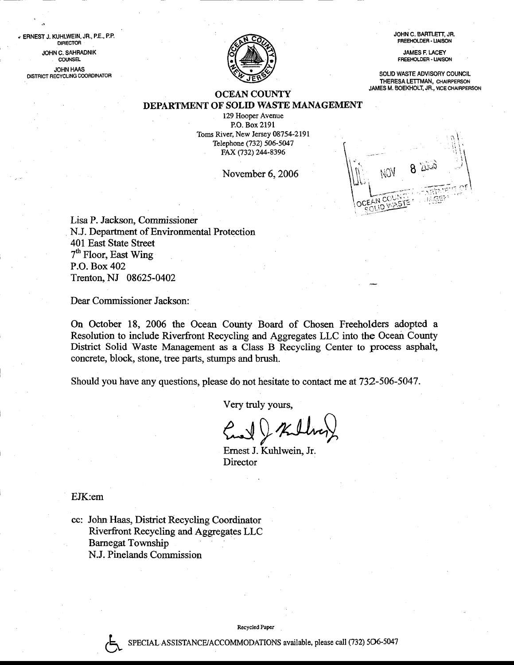JOHN C. BAFTLETT, JR. FREEHOLDER - LIAISON

JAMES F. LACEY FREEHOLOER. LIAISON

SOLID WASTE ADVISORY COUNCIL THERESA LETTMAN, CHAIRPERSON JAMES M. BOEKHOLT, JR., VICECHAIRPERSON



## OCEAN COUNTY DEPARTMENT OF SOLID WASTE MANAGEMENT

129 Hooper Avenue P.O. Box 219l Toms River, New Jersey 08754-2191 Telephone (732) 506-5047 FAX (732) 244-8396

November 6,2006



Lisa P. Jackson, Commissioner N.J. Department of Environmental Protection 401 East State Street  $7<sup>th</sup>$  Floor, East Wing P.O. Box 402 Trenton, NJ 08625-0402

Dear Commissioner Jackson:

On October 18, 2006 the Ocean County Board of Chosen Freeholders adopted <sup>a</sup> Resolution to include Riverfront Recycling and Aggregates LLC into the Ocean County District Solid Waste Management as a Class B Recycling Center to process asphalt, concrete, block, stone, tree parts, stumps and brush.

Should you have any questions, please do not hesitate to contact me at 732-506-5047.

Very truly yours,

Ernest J. Kuhlwein, Jr.

**Director** 

EJK:em

?

" ERNEST J. KUHLWEIN, JR., P,E., P.P. OIRECTOR JOHN C. SAHRADNIK ' couNsEL **JOHN HAAS** DISTRICT RECYCLING COORDINATOR

> cc: John Haas, District Recycling Coordinator Riverfront Recycling and Aggregates LLC Bamegat Township N.J. Pinelands Commission

> > Recyclcd Paper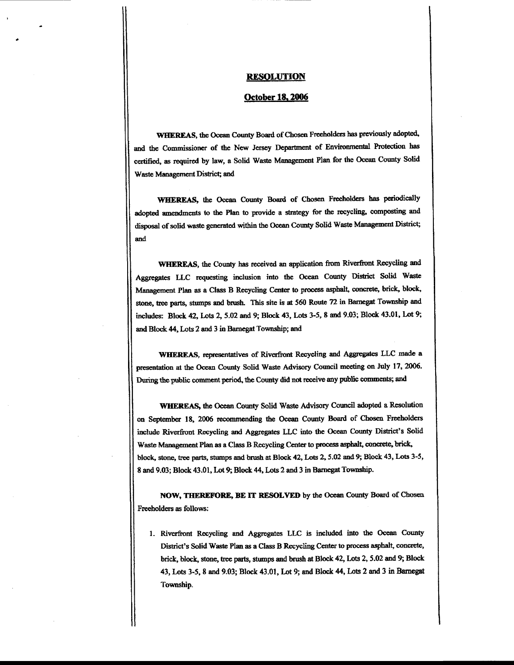## <u>resolution</u>

## October 18, 2006

WHEREAS, the Ocean County Board of Chosen Freeholders has previously adopted, and the Commissioner of the New Jersey Department of Environmental Protection has certified, as required by law, a Solid Waste Management Plan for the Ocean County Solid Waste Management District; and

WHEREAS, the Ocean County Board of Chosen Freeholders has periodically adopted amendments to the Plan to provide a strategy for the recycling, composting and disposal of solid waste generated within the Ocean County Solid Waste Management District; and

WHEREAS, the County has received an application from Riverfront Recycling and Aggregates LLC requesting inclusion into the Ocean County District Solid Waste Management Plan as a Class B Recycling Center to process asphalt, concrete, brick, block, stone, tree parts, stumps and brush. This site is at 560 Route 72 in Barnegat Township and includes: Block 42, Lots 2, 5.02 and 9; Block 43, Lots 3-5, 8 and 9.03; Block 43.01, Lot 9; and Block 44, Lots 2 and 3 in Barnegat Township; and

WHEREAS, representatives of Riverfront Recycling and Aggregates LLC made a presentation at the Ocean County Solid Waste Advisory Council meeting on July 17, 2006. During the public comment period, the County did not receive any public comments; and

**WHEREAS, the Ocean County Solid Waste Advisory Council adopted a Resolution** on September 18, 2006 recommending the Ocean County Board of Chosen Freeholders include Riverfront Recycling and Aggregates LLC into the Ocean County District's Solid Waste Management Plan as a Class B Recycling Center to process asphalt, concrete, brick, block, stone, tree parts, stumps and brush at Block 42, Lots 2, 5.02 and 9; Block 43, Lots 3-5, 8 and 9.03; Block 43.01, Lot 9; Block 44, Lots 2 and 3 in Barnegat Township.

NOW, THEREFORE, BE IT RESOLVED by the Ocean County Board of Chosen Freeholders as follows:

1. Riverfront Recycling and Aggregates LLC is included into the Ocean County District's Solid Waste Plan as a Class B Recycling Center to process asphalt, concrete, brick, block, stone, tree parts, stumps and brush at Block 42, Lots 2, 5.02 and 9; Block 43, Lots 3-5, 8 and 9.03; Block 43.01, Lot 9; and Block 44, Lots 2 and 3 in Barnegat Township.